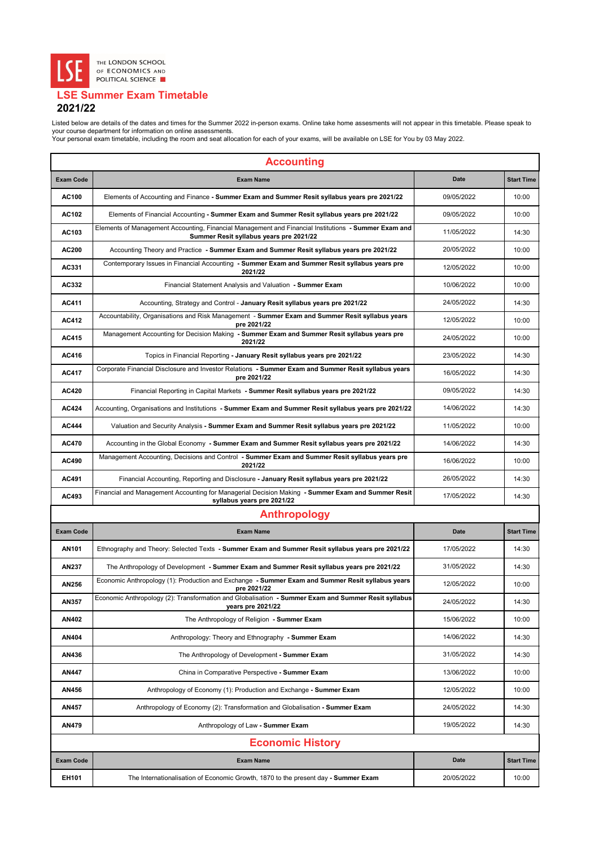| <b>Accounting</b> |                                                                                                                                                 |             |                   |
|-------------------|-------------------------------------------------------------------------------------------------------------------------------------------------|-------------|-------------------|
| <b>Exam Code</b>  | <b>Exam Name</b>                                                                                                                                | <b>Date</b> | <b>Start Time</b> |
| <b>AC100</b>      | Elements of Accounting and Finance - Summer Exam and Summer Resit syllabus years pre 2021/22                                                    | 09/05/2022  | 10:00             |
| <b>AC102</b>      | Elements of Financial Accounting - Summer Exam and Summer Resit syllabus years pre 2021/22                                                      | 09/05/2022  | 10:00             |
| AC103             | Elements of Management Accounting, Financial Management and Financial Institutions - Summer Exam and<br>Summer Resit syllabus years pre 2021/22 | 11/05/2022  | 14:30             |
| <b>AC200</b>      | Accounting Theory and Practice - Summer Exam and Summer Resit syllabus years pre 2021/22                                                        | 20/05/2022  | 10:00             |
| AC331             | Contemporary Issues in Financial Accounting - Summer Exam and Summer Resit syllabus years pre<br>2021/22                                        | 12/05/2022  | 10:00             |
| AC332             | Financial Statement Analysis and Valuation - Summer Exam                                                                                        | 10/06/2022  | 10:00             |
| <b>AC411</b>      | Accounting, Strategy and Control - January Resit syllabus years pre 2021/22                                                                     | 24/05/2022  | 14:30             |
| <b>AC412</b>      | Accountability, Organisations and Risk Management - Summer Exam and Summer Resit syllabus years<br>pre 2021/22                                  | 12/05/2022  | 10:00             |
| <b>AC415</b>      | Management Accounting for Decision Making - Summer Exam and Summer Resit syllabus years pre<br>2021/22                                          | 24/05/2022  | 10:00             |
| <b>AC416</b>      | Topics in Financial Reporting - January Resit syllabus years pre 2021/22                                                                        | 23/05/2022  | 14:30             |
| <b>AC417</b>      | Corporate Financial Disclosure and Investor Relations - Summer Exam and Summer Resit syllabus years<br>pre 2021/22                              | 16/05/2022  | 14:30             |
| <b>AC420</b>      | Financial Reporting in Capital Markets - Summer Resit syllabus years pre 2021/22                                                                | 09/05/2022  | 14:30             |
| <b>AC424</b>      | Accounting, Organisations and Institutions - Summer Exam and Summer Resit syllabus years pre 2021/22                                            | 14/06/2022  | 14:30             |
| <b>AC444</b>      | Valuation and Security Analysis - Summer Exam and Summer Resit syllabus years pre 2021/22                                                       | 11/05/2022  | 10:00             |
| <b>AC470</b>      | Accounting in the Global Economy - Summer Exam and Summer Resit syllabus years pre 2021/22                                                      | 14/06/2022  | 14:30             |
| <b>AC490</b>      | Management Accounting, Decisions and Control - Summer Exam and Summer Resit syllabus years pre<br>2021/22                                       | 16/06/2022  | 10:00             |
| <b>AC491</b>      | Financial Accounting, Reporting and Disclosure - January Resit syllabus years pre 2021/22                                                       | 26/05/2022  | 14:30             |
| AC493             | Financial and Management Accounting for Managerial Decision Making - Summer Exam and Summer Resit<br>syllabus years pre 2021/22                 | 17/05/2022  | 14:30             |
|                   | <b>Anthropology</b>                                                                                                                             |             |                   |
| <b>Exam Code</b>  | <b>Exam Name</b>                                                                                                                                | <b>Date</b> | <b>Start Time</b> |
| <b>AN101</b>      | Ethnography and Theory: Selected Texts - Summer Exam and Summer Resit syllabus years pre 2021/22                                                | 17/05/2022  | 14:30             |
| <b>AN237</b>      | The Anthropology of Development - Summer Exam and Summer Resit syllabus years pre 2021/22                                                       | 31/05/2022  | 14:30             |
| <b>AN256</b>      | Economic Anthropology (1): Production and Exchange - Summer Exam and Summer Resit syllabus years<br>pre 2021/22                                 | 12/05/2022  | 10:00             |
| <b>AN357</b>      | Economic Anthropology (2): Transformation and Globalisation - Summer Exam and Summer Resit syllabus<br>years pre 2021/22                        | 24/05/2022  | 14:30             |
| <b>AN402</b>      | The Anthropology of Religion - Summer Exam                                                                                                      | 15/06/2022  | 10:00             |
| <b>AN404</b>      | Anthropology: Theory and Ethnography - Summer Exam                                                                                              | 14/06/2022  | 14:30             |
| <b>AN436</b>      | The Anthropology of Development - Summer Exam                                                                                                   | 31/05/2022  | 14:30             |
| <b>AN447</b>      | China in Comparative Perspective - Summer Exam                                                                                                  | 13/06/2022  | 10:00             |
| <b>AN456</b>      | Anthropology of Economy (1): Production and Exchange - Summer Exam                                                                              | 12/05/2022  | 10:00             |
| <b>AN457</b>      | Anthropology of Economy (2): Transformation and Globalisation - Summer Exam                                                                     | 24/05/2022  | 14:30             |
| <b>AN479</b>      | Anthropology of Law - Summer Exam                                                                                                               | 19/05/2022  | 14:30             |
|                   | <b>Economic History</b>                                                                                                                         |             |                   |
| <b>Exam Code</b>  | <b>Exam Name</b>                                                                                                                                | <b>Date</b> | <b>Start Time</b> |
| <b>EH101</b>      | The Internationalisation of Economic Growth, 1870 to the present day - Summer Exam                                                              | 20/05/2022  | 10:00             |



## **LSE Summer Exam Timetable 2021/22**

Listed below are details of the dates and times for the Summer 2022 in-person exams. Online take home assesments will not appear in this timetable. Please speak to your course department for information on online assessments.

Your personal exam timetable, including the room and seat allocation for each of your exams, will be available on LSE for You by 03 May 2022.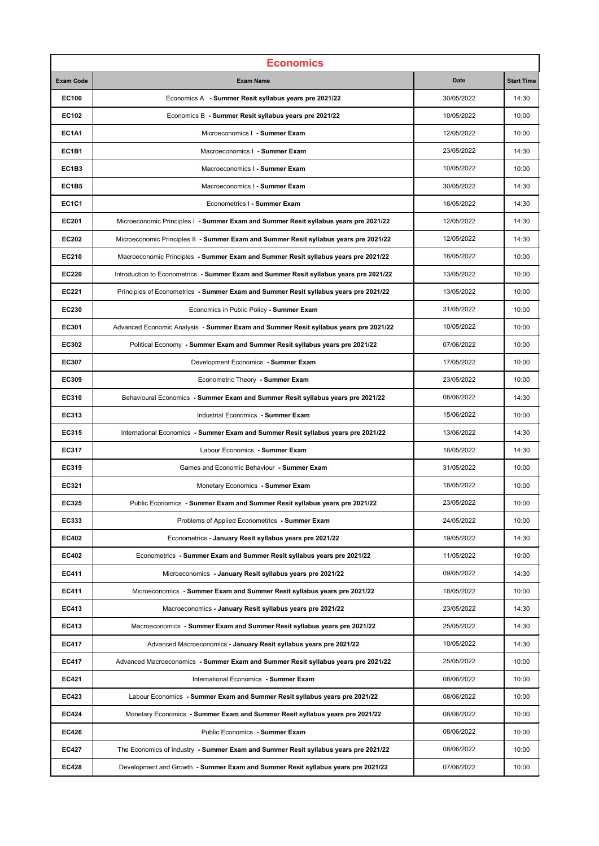| <b>Economics</b> |                                                                                        |             |                   |
|------------------|----------------------------------------------------------------------------------------|-------------|-------------------|
| <b>Exam Code</b> | <b>Exam Name</b>                                                                       | <b>Date</b> | <b>Start Time</b> |
| <b>EC100</b>     | Economics A - Summer Resit syllabus years pre 2021/22                                  | 30/05/2022  | 14:30             |
| <b>EC102</b>     | Economics B - Summer Resit syllabus years pre 2021/22                                  | 10/05/2022  | 10:00             |
| <b>EC1A1</b>     | Microeconomics   - Summer Exam                                                         | 12/05/2022  | 10:00             |
| <b>EC1B1</b>     | Macroeconomics   - Summer Exam                                                         | 23/05/2022  | 14:30             |
| EC1B3            | Macroeconomics I - Summer Exam                                                         | 10/05/2022  | 10:00             |
| EC1B5            | Macroeconomics   - Summer Exam                                                         | 30/05/2022  | 14:30             |
| <b>EC1C1</b>     | Econometrics I - Summer Exam                                                           | 16/05/2022  | 14:30             |
| <b>EC201</b>     | Microeconomic Principles   - Summer Exam and Summer Resit syllabus years pre 2021/22   | 12/05/2022  | 14:30             |
| <b>EC202</b>     | Microeconomic Principles II - Summer Exam and Summer Resit syllabus years pre 2021/22  | 12/05/2022  | 14:30             |
| <b>EC210</b>     | Macroeconomic Principles - Summer Exam and Summer Resit syllabus years pre 2021/22     | 16/05/2022  | 10:00             |
| <b>EC220</b>     | Introduction to Econometrics - Summer Exam and Summer Resit syllabus years pre 2021/22 | 13/05/2022  | 10:00             |
| <b>EC221</b>     | Principles of Econometrics - Summer Exam and Summer Resit syllabus years pre 2021/22   | 13/05/2022  | 10:00             |
| <b>EC230</b>     | Economics in Public Policy - Summer Exam                                               | 31/05/2022  | 10:00             |
| <b>EC301</b>     | Advanced Economic Analysis - Summer Exam and Summer Resit syllabus years pre 2021/22   | 10/05/2022  | 10:00             |
| <b>EC302</b>     | Political Economy - Summer Exam and Summer Resit syllabus years pre 2021/22            | 07/06/2022  | 10:00             |
| <b>EC307</b>     | Development Economics - Summer Exam                                                    | 17/05/2022  | 10:00             |
| <b>EC309</b>     | Econometric Theory - Summer Exam                                                       | 23/05/2022  | 10:00             |
| <b>EC310</b>     | Behavioural Economics - Summer Exam and Summer Resit syllabus years pre 2021/22        | 08/06/2022  | 14:30             |
| <b>EC313</b>     | Industrial Economics - Summer Exam                                                     | 15/06/2022  | 10:00             |
| <b>EC315</b>     | International Economics - Summer Exam and Summer Resit syllabus years pre 2021/22      | 13/06/2022  | 14:30             |
| <b>EC317</b>     | Labour Economics - Summer Exam                                                         | 16/05/2022  | 14:30             |
| <b>EC319</b>     | Games and Economic Behaviour - Summer Exam                                             | 31/05/2022  | 10:00             |
| <b>EC321</b>     | Monetary Economics - Summer Exam                                                       | 18/05/2022  | 10:00             |
| <b>EC325</b>     | Public Economics - Summer Exam and Summer Resit syllabus years pre 2021/22             | 23/05/2022  | 10:00             |
| <b>EC333</b>     | Problems of Applied Econometrics - Summer Exam                                         | 24/05/2022  | 10:00             |
| <b>EC402</b>     | Econometrics - January Resit syllabus years pre 2021/22                                | 19/05/2022  | 14:30             |
| <b>EC402</b>     | Econometrics - Summer Exam and Summer Resit syllabus years pre 2021/22                 | 11/05/2022  | 10:00             |
| <b>EC411</b>     | Microeconomics - January Resit syllabus years pre 2021/22                              | 09/05/2022  | 14:30             |
| <b>EC411</b>     | Microeconomics - Summer Exam and Summer Resit syllabus years pre 2021/22               | 18/05/2022  | 10:00             |
| <b>EC413</b>     | Macroeconomics - January Resit syllabus years pre 2021/22                              | 23/05/2022  | 14:30             |
| <b>EC413</b>     | Macroeconomics - Summer Exam and Summer Resit syllabus years pre 2021/22               | 25/05/2022  | 14:30             |
| <b>EC417</b>     | Advanced Macroeconomics - January Resit syllabus years pre 2021/22                     | 10/05/2022  | 14:30             |
| <b>EC417</b>     | Advanced Macroeconomics - Summer Exam and Summer Resit syllabus years pre 2021/22      | 25/05/2022  | 10:00             |
| <b>EC421</b>     | International Economics - Summer Exam                                                  | 08/06/2022  | 10:00             |
| <b>EC423</b>     | Labour Economics - Summer Exam and Summer Resit syllabus years pre 2021/22             | 08/06/2022  | 10:00             |
| <b>EC424</b>     | Monetary Economics - Summer Exam and Summer Resit syllabus years pre 2021/22           | 08/06/2022  | 10:00             |
| <b>EC426</b>     | Public Economics - Summer Exam                                                         | 08/06/2022  | 10:00             |
| <b>EC427</b>     | The Economics of Industry - Summer Exam and Summer Resit syllabus years pre 2021/22    | 08/06/2022  | 10:00             |
| <b>EC428</b>     | Development and Growth - Summer Exam and Summer Resit syllabus years pre 2021/22       | 07/06/2022  | 10:00             |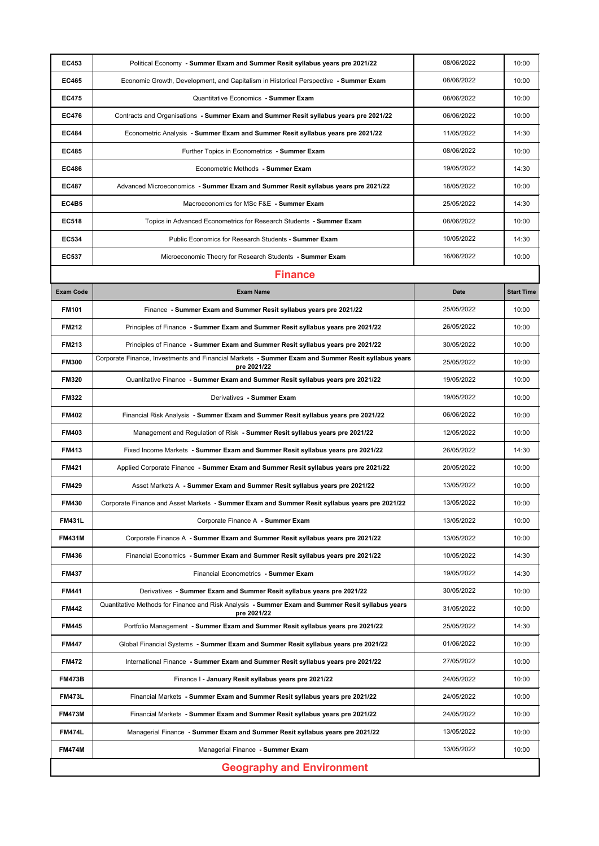| <b>EC453</b>                     | Political Economy - Summer Exam and Summer Resit syllabus years pre 2021/22                                       | 08/06/2022  | 10:00             |
|----------------------------------|-------------------------------------------------------------------------------------------------------------------|-------------|-------------------|
| <b>EC465</b>                     | Economic Growth, Development, and Capitalism in Historical Perspective - Summer Exam                              | 08/06/2022  | 10:00             |
| <b>EC475</b>                     | Quantitative Economics - Summer Exam                                                                              | 08/06/2022  | 10:00             |
| <b>EC476</b>                     | Contracts and Organisations - Summer Exam and Summer Resit syllabus years pre 2021/22                             | 06/06/2022  | 10:00             |
| <b>EC484</b>                     | Econometric Analysis - Summer Exam and Summer Resit syllabus years pre 2021/22                                    | 11/05/2022  | 14:30             |
| <b>EC485</b>                     | Further Topics in Econometrics - Summer Exam                                                                      | 08/06/2022  | 10:00             |
| <b>EC486</b>                     | Econometric Methods - Summer Exam                                                                                 | 19/05/2022  | 14:30             |
| <b>EC487</b>                     | Advanced Microeconomics - Summer Exam and Summer Resit syllabus years pre 2021/22                                 | 18/05/2022  | 10:00             |
| <b>EC4B5</b>                     | Macroeconomics for MSc F&E - Summer Exam                                                                          | 25/05/2022  | 14:30             |
| <b>EC518</b>                     | Topics in Advanced Econometrics for Research Students - Summer Exam                                               | 08/06/2022  | 10:00             |
| <b>EC534</b>                     | Public Economics for Research Students - Summer Exam                                                              | 10/05/2022  | 14:30             |
| <b>EC537</b>                     | Microeconomic Theory for Research Students - Summer Exam                                                          | 16/06/2022  | 10:00             |
|                                  | <b>Finance</b>                                                                                                    |             |                   |
| <b>Exam Code</b>                 | <b>Exam Name</b>                                                                                                  | <b>Date</b> | <b>Start Time</b> |
| <b>FM101</b>                     | Finance - Summer Exam and Summer Resit syllabus years pre 2021/22                                                 | 25/05/2022  | 10:00             |
| <b>FM212</b>                     | Principles of Finance - Summer Exam and Summer Resit syllabus years pre 2021/22                                   | 26/05/2022  | 10:00             |
| <b>FM213</b>                     | Principles of Finance - Summer Exam and Summer Resit syllabus years pre 2021/22                                   | 30/05/2022  | 10:00             |
| <b>FM300</b>                     | Corporate Finance, Investments and Financial Markets - Summer Exam and Summer Resit syllabus years<br>pre 2021/22 | 25/05/2022  | 10:00             |
| <b>FM320</b>                     | Quantitative Finance - Summer Exam and Summer Resit syllabus years pre 2021/22                                    | 19/05/2022  | 10:00             |
| <b>FM322</b>                     | Derivatives - Summer Exam                                                                                         | 19/05/2022  | 10:00             |
| <b>FM402</b>                     | Financial Risk Analysis - Summer Exam and Summer Resit syllabus years pre 2021/22                                 | 06/06/2022  | 10:00             |
| <b>FM403</b>                     | Management and Regulation of Risk - Summer Resit syllabus years pre 2021/22                                       | 12/05/2022  | 10:00             |
| <b>FM413</b>                     | Fixed Income Markets - Summer Exam and Summer Resit syllabus years pre 2021/22                                    | 26/05/2022  | 14:30             |
| <b>FM421</b>                     | Applied Corporate Finance - Summer Exam and Summer Resit syllabus years pre 2021/22                               | 20/05/2022  | 10:00             |
| <b>FM429</b>                     | Asset Markets A - Summer Exam and Summer Resit syllabus years pre 2021/22                                         | 13/05/2022  | 10:00             |
| <b>FM430</b>                     | Corporate Finance and Asset Markets - Summer Exam and Summer Resit syllabus years pre 2021/22                     | 13/05/2022  | 10:00             |
| <b>FM431L</b>                    | Corporate Finance A - Summer Exam                                                                                 | 13/05/2022  | 10:00             |
| <b>FM431M</b>                    | Corporate Finance A - Summer Exam and Summer Resit syllabus years pre 2021/22                                     | 13/05/2022  | 10:00             |
| <b>FM436</b>                     | Financial Economics - Summer Exam and Summer Resit syllabus years pre 2021/22                                     | 10/05/2022  | 14:30             |
| <b>FM437</b>                     | Financial Econometrics - Summer Exam                                                                              | 19/05/2022  | 14:30             |
| <b>FM441</b>                     | Derivatives - Summer Exam and Summer Resit syllabus years pre 2021/22                                             | 30/05/2022  | 10:00             |
| <b>FM442</b>                     | Quantitative Methods for Finance and Risk Analysis - Summer Exam and Summer Resit syllabus years<br>pre 2021/22   | 31/05/2022  | 10:00             |
| <b>FM445</b>                     | Portfolio Management - Summer Exam and Summer Resit syllabus years pre 2021/22                                    | 25/05/2022  | 14:30             |
| <b>FM447</b>                     | Global Financial Systems - Summer Exam and Summer Resit syllabus years pre 2021/22                                | 01/06/2022  | 10:00             |
| <b>FM472</b>                     | International Finance - Summer Exam and Summer Resit syllabus years pre 2021/22                                   | 27/05/2022  | 10:00             |
| <b>FM473B</b>                    | Finance I - January Resit syllabus years pre 2021/22                                                              | 24/05/2022  | 10:00             |
| <b>FM473L</b>                    | Financial Markets - Summer Exam and Summer Resit syllabus years pre 2021/22                                       | 24/05/2022  | 10:00             |
| <b>FM473M</b>                    | Financial Markets - Summer Exam and Summer Resit syllabus years pre 2021/22                                       | 24/05/2022  | 10:00             |
| <b>FM474L</b>                    | Managerial Finance - Summer Exam and Summer Resit syllabus years pre 2021/22                                      | 13/05/2022  | 10:00             |
| <b>FM474M</b>                    | Managerial Finance - Summer Exam                                                                                  | 13/05/2022  | 10:00             |
| <b>Geography and Environment</b> |                                                                                                                   |             |                   |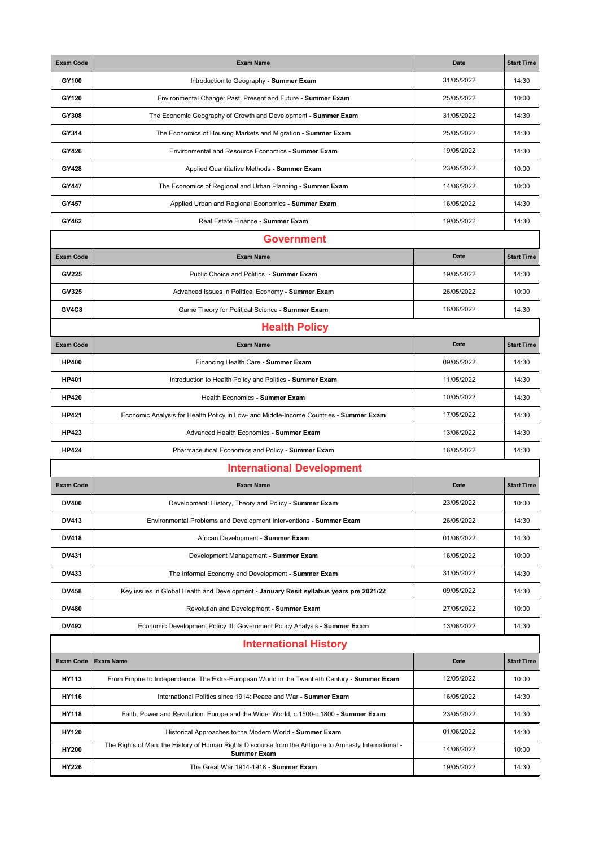| <b>Exam Code</b> | <b>Exam Name</b>                                                                                                            | <b>Date</b> | <b>Start Time</b> |
|------------------|-----------------------------------------------------------------------------------------------------------------------------|-------------|-------------------|
| <b>GY100</b>     | Introduction to Geography - Summer Exam                                                                                     | 31/05/2022  | 14:30             |
| <b>GY120</b>     | Environmental Change: Past, Present and Future - Summer Exam                                                                | 25/05/2022  | 10:00             |
| GY308            | The Economic Geography of Growth and Development - Summer Exam                                                              | 31/05/2022  | 14:30             |
| GY314            | The Economics of Housing Markets and Migration - Summer Exam                                                                | 25/05/2022  | 14:30             |
| <b>GY426</b>     | Environmental and Resource Economics - Summer Exam                                                                          | 19/05/2022  | 14:30             |
| <b>GY428</b>     | Applied Quantitative Methods - Summer Exam                                                                                  | 23/05/2022  | 10:00             |
| <b>GY447</b>     | The Economics of Regional and Urban Planning - Summer Exam                                                                  | 14/06/2022  | 10:00             |
| <b>GY457</b>     | Applied Urban and Regional Economics - Summer Exam                                                                          | 16/05/2022  | 14:30             |
| GY462            | Real Estate Finance - Summer Exam                                                                                           | 19/05/2022  | 14:30             |
|                  | <b>Government</b>                                                                                                           |             |                   |
| <b>Exam Code</b> | <b>Exam Name</b>                                                                                                            | <b>Date</b> | <b>Start Time</b> |
| <b>GV225</b>     | Public Choice and Politics - Summer Exam                                                                                    | 19/05/2022  | 14:30             |
| <b>GV325</b>     | Advanced Issues in Political Economy - Summer Exam                                                                          | 26/05/2022  | 10:00             |
| GV4C8            | Game Theory for Political Science - Summer Exam                                                                             | 16/06/2022  | 14:30             |
|                  | <b>Health Policy</b>                                                                                                        |             |                   |
| <b>Exam Code</b> | <b>Exam Name</b>                                                                                                            | <b>Date</b> | <b>Start Time</b> |
| <b>HP400</b>     | Financing Health Care - Summer Exam                                                                                         | 09/05/2022  | 14:30             |
| <b>HP401</b>     | Introduction to Health Policy and Politics - Summer Exam                                                                    | 11/05/2022  | 14:30             |
| <b>HP420</b>     | <b>Health Economics - Summer Exam</b>                                                                                       | 10/05/2022  | 14:30             |
| <b>HP421</b>     | Economic Analysis for Health Policy in Low- and Middle-Income Countries - Summer Exam                                       | 17/05/2022  | 14:30             |
| <b>HP423</b>     | Advanced Health Economics - Summer Exam                                                                                     | 13/06/2022  | 14:30             |
| <b>HP424</b>     | Pharmaceutical Economics and Policy - Summer Exam                                                                           | 16/05/2022  | 14:30             |
|                  | <b>International Development</b>                                                                                            |             |                   |
| <b>Exam Code</b> | <b>Exam Name</b>                                                                                                            | <b>Date</b> | <b>Start Time</b> |
| <b>DV400</b>     | Development: History, Theory and Policy - Summer Exam                                                                       | 23/05/2022  | 10:00             |
| <b>DV413</b>     | Environmental Problems and Development Interventions - Summer Exam                                                          | 26/05/2022  | 14:30             |
| <b>DV418</b>     | African Development - Summer Exam                                                                                           | 01/06/2022  | 14:30             |
| <b>DV431</b>     | Development Management - Summer Exam                                                                                        | 16/05/2022  | 10:00             |
| <b>DV433</b>     | The Informal Economy and Development - Summer Exam                                                                          | 31/05/2022  | 14:30             |
| <b>DV458</b>     | Key issues in Global Health and Development - January Resit syllabus years pre 2021/22                                      | 09/05/2022  | 14:30             |
| <b>DV480</b>     | Revolution and Development - Summer Exam                                                                                    | 27/05/2022  | 10:00             |
| <b>DV492</b>     | Economic Development Policy III: Government Policy Analysis - Summer Exam                                                   | 13/06/2022  | 14:30             |
|                  | <b>International History</b>                                                                                                |             |                   |
| <b>Exam Code</b> | <b>Exam Name</b>                                                                                                            | <b>Date</b> | <b>Start Time</b> |
| <b>HY113</b>     | From Empire to Independence: The Extra-European World in the Twentieth Century - Summer Exam                                | 12/05/2022  | 10:00             |
| <b>HY116</b>     | International Politics since 1914: Peace and War - Summer Exam                                                              | 16/05/2022  | 14:30             |
| <b>HY118</b>     | Faith, Power and Revolution: Europe and the Wider World, c.1500-c.1800 - Summer Exam                                        | 23/05/2022  | 14:30             |
| <b>HY120</b>     | Historical Approaches to the Modern World - Summer Exam                                                                     | 01/06/2022  | 14:30             |
| <b>HY200</b>     | The Rights of Man: the History of Human Rights Discourse from the Antigone to Amnesty International -<br><b>Summer Exam</b> | 14/06/2022  | 10:00             |
| <b>HY226</b>     | The Great War 1914-1918 - Summer Exam                                                                                       | 19/05/2022  | 14:30             |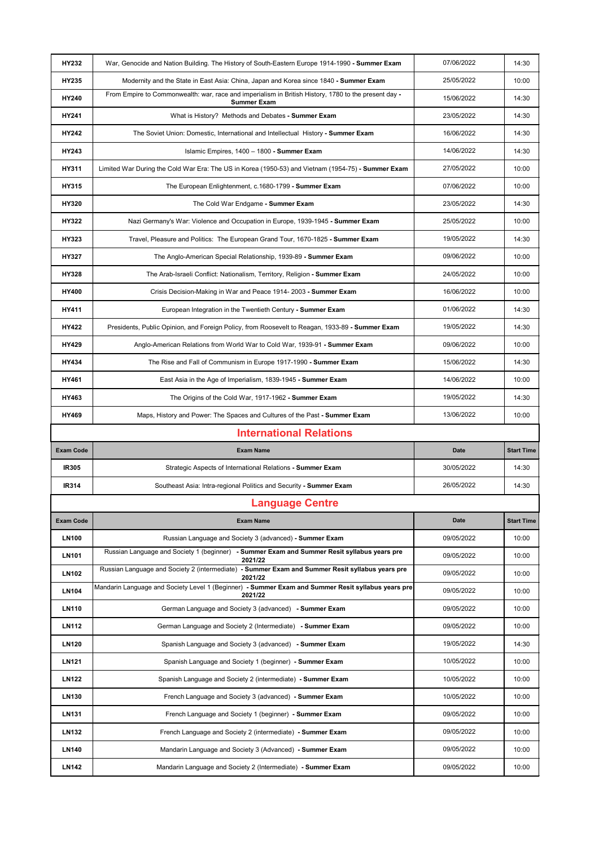| <b>HY232</b>     | War, Genocide and Nation Building. The History of South-Eastern Europe 1914-1990 - Summer Exam                             | 07/06/2022  | 14:30             |
|------------------|----------------------------------------------------------------------------------------------------------------------------|-------------|-------------------|
| HY235            | Modernity and the State in East Asia: China, Japan and Korea since 1840 - Summer Exam                                      | 25/05/2022  | 10:00             |
| <b>HY240</b>     | From Empire to Commonwealth: war, race and imperialism in British History, 1780 to the present day -<br><b>Summer Exam</b> | 15/06/2022  | 14:30             |
| <b>HY241</b>     | What is History? Methods and Debates - Summer Exam                                                                         | 23/05/2022  | 14:30             |
| <b>HY242</b>     | The Soviet Union: Domestic, International and Intellectual History - Summer Exam                                           | 16/06/2022  | 14:30             |
| <b>HY243</b>     | Islamic Empires, 1400 - 1800 - Summer Exam                                                                                 | 14/06/2022  | 14:30             |
| <b>HY311</b>     | Limited War During the Cold War Era: The US in Korea (1950-53) and Vietnam (1954-75) - Summer Exam                         | 27/05/2022  | 10:00             |
| <b>HY315</b>     | The European Enlightenment, c.1680-1799 - Summer Exam                                                                      | 07/06/2022  | 10:00             |
| <b>HY320</b>     | The Cold War Endgame - Summer Exam                                                                                         | 23/05/2022  | 14:30             |
| <b>HY322</b>     | Nazi Germany's War: Violence and Occupation in Europe, 1939-1945 - Summer Exam                                             | 25/05/2022  | 10:00             |
| <b>HY323</b>     | Travel, Pleasure and Politics: The European Grand Tour, 1670-1825 - Summer Exam                                            | 19/05/2022  | 14:30             |
| <b>HY327</b>     | The Anglo-American Special Relationship, 1939-89 - Summer Exam                                                             | 09/06/2022  | 10:00             |
| <b>HY328</b>     | The Arab-Israeli Conflict: Nationalism, Territory, Religion - Summer Exam                                                  | 24/05/2022  | 10:00             |
| <b>HY400</b>     | Crisis Decision-Making in War and Peace 1914-2003 - Summer Exam                                                            | 16/06/2022  | 10:00             |
| <b>HY411</b>     | European Integration in the Twentieth Century - Summer Exam                                                                | 01/06/2022  | 14:30             |
| <b>HY422</b>     | Presidents, Public Opinion, and Foreign Policy, from Roosevelt to Reagan, 1933-89 - Summer Exam                            | 19/05/2022  | 14:30             |
| <b>HY429</b>     | Anglo-American Relations from World War to Cold War, 1939-91 - Summer Exam                                                 | 09/06/2022  | 10:00             |
| <b>HY434</b>     | The Rise and Fall of Communism in Europe 1917-1990 - Summer Exam                                                           | 15/06/2022  | 14:30             |
| <b>HY461</b>     | East Asia in the Age of Imperialism, 1839-1945 - Summer Exam                                                               | 14/06/2022  | 10:00             |
| HY463            | The Origins of the Cold War, 1917-1962 - Summer Exam                                                                       | 19/05/2022  | 14:30             |
|                  |                                                                                                                            |             |                   |
| <b>HY469</b>     | Maps, History and Power: The Spaces and Cultures of the Past - Summer Exam                                                 | 13/06/2022  | 10:00             |
|                  | <b>International Relations</b>                                                                                             |             |                   |
| <b>Exam Code</b> | <b>Exam Name</b>                                                                                                           | <b>Date</b> | <b>Start Time</b> |
| <b>IR305</b>     | Strategic Aspects of International Relations - Summer Exam                                                                 | 30/05/2022  | 14:30             |
| <b>IR314</b>     | Southeast Asia: Intra-regional Politics and Security - Summer Exam                                                         | 26/05/2022  | 14:30             |
|                  | <b>Language Centre</b>                                                                                                     |             |                   |
| <b>Exam Code</b> | <b>Exam Name</b>                                                                                                           | <b>Date</b> | <b>Start Time</b> |
| <b>LN100</b>     | Russian Language and Society 3 (advanced) - Summer Exam                                                                    | 09/05/2022  | 10:00             |
| <b>LN101</b>     | Russian Language and Society 1 (beginner) - Summer Exam and Summer Resit syllabus years pre<br>2021/22                     | 09/05/2022  | 10:00             |
| <b>LN102</b>     | Russian Language and Society 2 (intermediate) - Summer Exam and Summer Resit syllabus years pre<br>2021/22                 | 09/05/2022  | 10:00             |
| <b>LN104</b>     | Mandarin Language and Society Level 1 (Beginner) - Summer Exam and Summer Resit syllabus years pre<br>2021/22              | 09/05/2022  | 10:00             |
| <b>LN110</b>     | German Language and Society 3 (advanced) - Summer Exam                                                                     | 09/05/2022  | 10:00             |
| <b>LN112</b>     | German Language and Society 2 (Intermediate) - Summer Exam                                                                 | 09/05/2022  | 10:00             |
| <b>LN120</b>     | Spanish Language and Society 3 (advanced) - Summer Exam                                                                    | 19/05/2022  | 14:30             |
| <b>LN121</b>     | Spanish Language and Society 1 (beginner) - Summer Exam                                                                    | 10/05/2022  | 10:00             |
| <b>LN122</b>     | Spanish Language and Society 2 (intermediate) - Summer Exam                                                                | 10/05/2022  | 10:00             |
| <b>LN130</b>     | French Language and Society 3 (advanced) - Summer Exam                                                                     | 10/05/2022  | 10:00             |
| <b>LN131</b>     | French Language and Society 1 (beginner) - Summer Exam                                                                     | 09/05/2022  | 10:00             |
| <b>LN132</b>     | French Language and Society 2 (intermediate) - Summer Exam                                                                 | 09/05/2022  | 10:00             |
| <b>LN140</b>     | Mandarin Language and Society 3 (Advanced) - Summer Exam                                                                   | 09/05/2022  | 10:00             |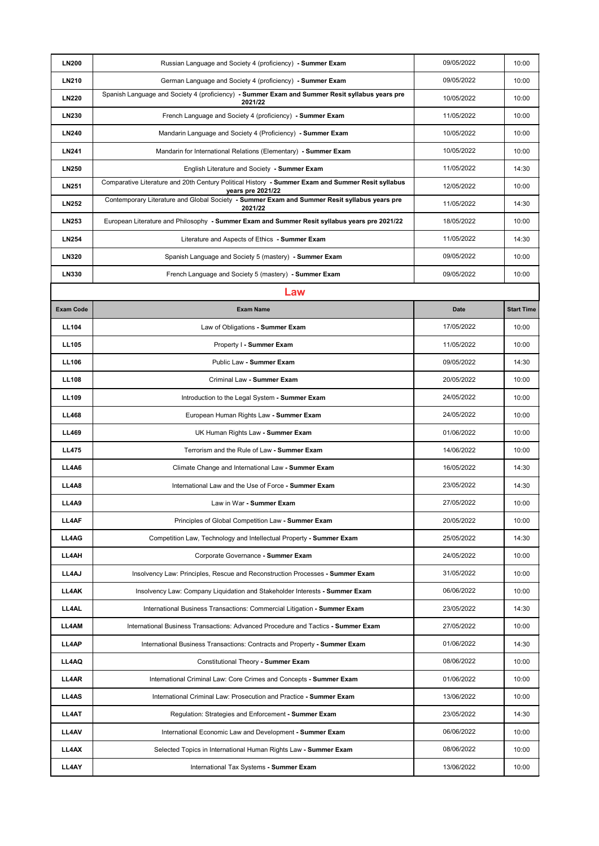| <b>LN200</b>     | Russian Language and Society 4 (proficiency) - Summer Exam                                                             | 09/05/2022  | 10:00             |
|------------------|------------------------------------------------------------------------------------------------------------------------|-------------|-------------------|
| <b>LN210</b>     | German Language and Society 4 (proficiency) - Summer Exam                                                              | 09/05/2022  | 10:00             |
| <b>LN220</b>     | Spanish Language and Society 4 (proficiency) - Summer Exam and Summer Resit syllabus years pre<br>2021/22              | 10/05/2022  | 10:00             |
| <b>LN230</b>     | French Language and Society 4 (proficiency) - Summer Exam                                                              | 11/05/2022  | 10:00             |
| <b>LN240</b>     | Mandarin Language and Society 4 (Proficiency) - Summer Exam                                                            | 10/05/2022  | 10:00             |
| <b>LN241</b>     | Mandarin for International Relations (Elementary) - Summer Exam                                                        | 10/05/2022  | 10:00             |
| <b>LN250</b>     | English Literature and Society - Summer Exam                                                                           | 11/05/2022  | 14:30             |
| <b>LN251</b>     | Comparative Literature and 20th Century Political History - Summer Exam and Summer Resit syllabus<br>years pre 2021/22 | 12/05/2022  | 10:00             |
| <b>LN252</b>     | Contemporary Literature and Global Society - Summer Exam and Summer Resit syllabus years pre<br>2021/22                | 11/05/2022  | 14:30             |
| <b>LN253</b>     | European Literature and Philosophy - Summer Exam and Summer Resit syllabus years pre 2021/22                           | 18/05/2022  | 10:00             |
| <b>LN254</b>     | Literature and Aspects of Ethics - Summer Exam                                                                         | 11/05/2022  | 14:30             |
| <b>LN320</b>     | Spanish Language and Society 5 (mastery) - Summer Exam                                                                 | 09/05/2022  | 10:00             |
| <b>LN330</b>     | French Language and Society 5 (mastery) - Summer Exam                                                                  | 09/05/2022  | 10:00             |
|                  | Law                                                                                                                    |             |                   |
| <b>Exam Code</b> | <b>Exam Name</b>                                                                                                       | <b>Date</b> | <b>Start Time</b> |
| <b>LL104</b>     | Law of Obligations - Summer Exam                                                                                       | 17/05/2022  | 10:00             |
| <b>LL105</b>     | Property I - Summer Exam                                                                                               | 11/05/2022  | 10:00             |
| <b>LL106</b>     | Public Law - Summer Exam                                                                                               | 09/05/2022  | 14:30             |
| <b>LL108</b>     | <b>Criminal Law - Summer Exam</b>                                                                                      | 20/05/2022  | 10:00             |
| <b>LL109</b>     | Introduction to the Legal System - Summer Exam                                                                         | 24/05/2022  | 10:00             |
| <b>LL468</b>     | European Human Rights Law - Summer Exam                                                                                | 24/05/2022  | 10:00             |
| <b>LL469</b>     | UK Human Rights Law - Summer Exam                                                                                      | 01/06/2022  | 10:00             |
| <b>LL475</b>     | Terrorism and the Rule of Law - Summer Exam                                                                            | 14/06/2022  | 10:00             |
| LL4A6            | Climate Change and International Law - Summer Exam                                                                     | 16/05/2022  | 14:30             |
| <b>LL4A8</b>     | International Law and the Use of Force - Summer Exam                                                                   | 23/05/2022  | 14:30             |
| <b>LL4A9</b>     | Law in War - Summer Exam                                                                                               | 27/05/2022  | 10:00             |
| <b>LL4AF</b>     | Principles of Global Competition Law - Summer Exam                                                                     | 20/05/2022  | 10:00             |
| <b>LL4AG</b>     | Competition Law, Technology and Intellectual Property - Summer Exam                                                    | 25/05/2022  | 14:30             |
| <b>LL4AH</b>     | Corporate Governance - Summer Exam                                                                                     | 24/05/2022  | 10:00             |
| LL4AJ            | Insolvency Law: Principles, Rescue and Reconstruction Processes - Summer Exam                                          | 31/05/2022  | 10:00             |
| LL4AK            | Insolvency Law: Company Liquidation and Stakeholder Interests - Summer Exam                                            | 06/06/2022  | 10:00             |
| <b>LL4AL</b>     | International Business Transactions: Commercial Litigation - Summer Exam                                               | 23/05/2022  | 14:30             |
| <b>LL4AM</b>     | International Business Transactions: Advanced Procedure and Tactics - Summer Exam                                      | 27/05/2022  | 10:00             |
| LL4AP            | International Business Transactions: Contracts and Property - Summer Exam                                              | 01/06/2022  | 14:30             |
| <b>LL4AQ</b>     | <b>Constitutional Theory - Summer Exam</b>                                                                             | 08/06/2022  | 10:00             |
| <b>LL4AR</b>     | International Criminal Law: Core Crimes and Concepts - Summer Exam                                                     | 01/06/2022  | 10:00             |
| <b>LL4AS</b>     | International Criminal Law: Prosecution and Practice - Summer Exam                                                     | 13/06/2022  | 10:00             |
| <b>LL4AT</b>     | Regulation: Strategies and Enforcement - Summer Exam                                                                   | 23/05/2022  | 14:30             |
| <b>LL4AV</b>     | International Economic Law and Development - Summer Exam                                                               | 06/06/2022  | 10:00             |
| LL4AX            | Selected Topics in International Human Rights Law - Summer Exam                                                        | 08/06/2022  | 10:00             |
| <b>LL4AY</b>     | International Tax Systems - Summer Exam                                                                                | 13/06/2022  | 10:00             |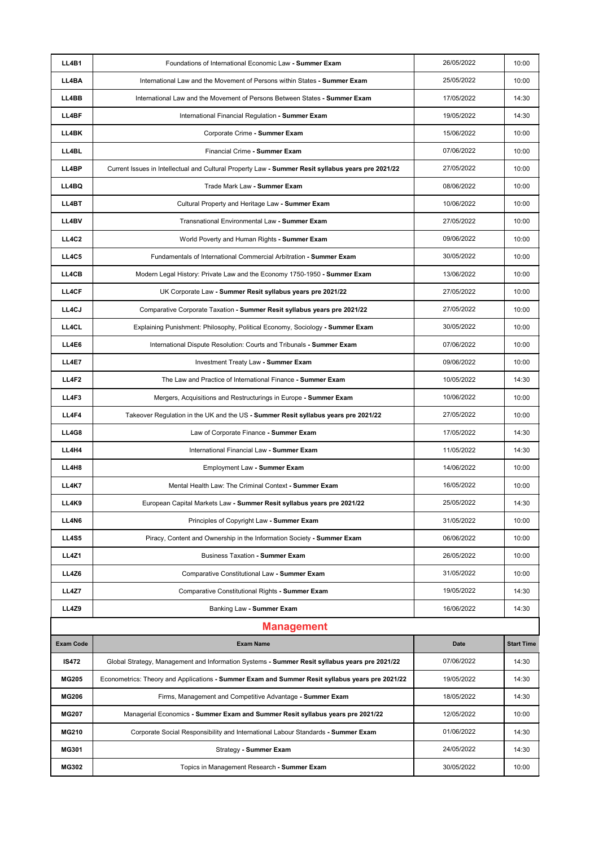| LL4B1            | Foundations of International Economic Law - Summer Exam                                            | 26/05/2022  | 10:00             |
|------------------|----------------------------------------------------------------------------------------------------|-------------|-------------------|
| LL4BA            | International Law and the Movement of Persons within States - Summer Exam                          | 25/05/2022  | 10:00             |
| LL4BB            | International Law and the Movement of Persons Between States - Summer Exam                         | 17/05/2022  | 14:30             |
| LL4BF            | International Financial Regulation - Summer Exam                                                   | 19/05/2022  | 14:30             |
| LL4BK            | Corporate Crime - Summer Exam                                                                      | 15/06/2022  | 10:00             |
| <b>LL4BL</b>     | Financial Crime - Summer Exam                                                                      | 07/06/2022  | 10:00             |
|                  |                                                                                                    |             |                   |
| LL4BP            | Current Issues in Intellectual and Cultural Property Law - Summer Resit syllabus years pre 2021/22 | 27/05/2022  | 10:00             |
| <b>LL4BQ</b>     | Trade Mark Law - Summer Exam                                                                       | 08/06/2022  | 10:00             |
| LL4BT            | Cultural Property and Heritage Law - Summer Exam                                                   | 10/06/2022  | 10:00             |
| <b>LL4BV</b>     | Transnational Environmental Law - Summer Exam                                                      | 27/05/2022  | 10:00             |
| <b>LL4C2</b>     | World Poverty and Human Rights - Summer Exam                                                       | 09/06/2022  | 10:00             |
| <b>LL4C5</b>     | Fundamentals of International Commercial Arbitration - Summer Exam                                 | 30/05/2022  | 10:00             |
| <b>LL4CB</b>     | Modern Legal History: Private Law and the Economy 1750-1950 - Summer Exam                          | 13/06/2022  | 10:00             |
| <b>LL4CF</b>     | UK Corporate Law - Summer Resit syllabus years pre 2021/22                                         | 27/05/2022  | 10:00             |
| LL4CJ            | Comparative Corporate Taxation - Summer Resit syllabus years pre 2021/22                           | 27/05/2022  | 10:00             |
| <b>LL4CL</b>     | Explaining Punishment: Philosophy, Political Economy, Sociology - Summer Exam                      | 30/05/2022  | 10:00             |
| LL4E6            | International Dispute Resolution: Courts and Tribunals - Summer Exam                               | 07/06/2022  | 10:00             |
| <b>LL4E7</b>     | <b>Investment Treaty Law - Summer Exam</b>                                                         | 09/06/2022  | 10:00             |
| <b>LL4F2</b>     | The Law and Practice of International Finance - Summer Exam                                        | 10/05/2022  | 14:30             |
| LL4F3            | Mergers, Acquisitions and Restructurings in Europe - Summer Exam                                   | 10/06/2022  | 10:00             |
| LL4F4            | Takeover Regulation in the UK and the US - Summer Resit syllabus years pre 2021/22                 | 27/05/2022  | 10:00             |
| <b>LL4G8</b>     | Law of Corporate Finance - Summer Exam                                                             | 17/05/2022  | 14:30             |
| LL4H4            | International Financial Law - Summer Exam                                                          | 11/05/2022  | 14:30             |
| LL4H8            | <b>Employment Law - Summer Exam</b>                                                                | 14/06/2022  | 10:00             |
| <b>LL4K7</b>     | Mental Health Law: The Criminal Context - Summer Exam                                              | 16/05/2022  | 10:00             |
| <b>LL4K9</b>     | European Capital Markets Law - Summer Resit syllabus years pre 2021/22                             | 25/05/2022  | 14:30             |
| LL4N6            | Principles of Copyright Law - Summer Exam                                                          | 31/05/2022  | 10:00             |
| <b>LL4S5</b>     | Piracy, Content and Ownership in the Information Society - Summer Exam                             | 06/06/2022  | 10:00             |
| <b>LL4Z1</b>     | <b>Business Taxation - Summer Exam</b>                                                             | 26/05/2022  | 10:00             |
| <b>LL4Z6</b>     | <b>Comparative Constitutional Law - Summer Exam</b>                                                | 31/05/2022  | 10:00             |
| <b>LL4Z7</b>     | <b>Comparative Constitutional Rights - Summer Exam</b>                                             | 19/05/2022  | 14:30             |
| <b>LL4Z9</b>     | Banking Law - Summer Exam                                                                          | 16/06/2022  | 14:30             |
|                  | <b>Management</b>                                                                                  |             |                   |
| <b>Exam Code</b> | <b>Exam Name</b>                                                                                   | <b>Date</b> | <b>Start Time</b> |
| <b>IS472</b>     | Global Strategy, Management and Information Systems - Summer Resit syllabus years pre 2021/22      | 07/06/2022  | 14:30             |
| <b>MG205</b>     | Econometrics: Theory and Applications - Summer Exam and Summer Resit syllabus years pre 2021/22    | 19/05/2022  | 14:30             |
| <b>MG206</b>     | Firms, Management and Competitive Advantage - Summer Exam                                          | 18/05/2022  | 14:30             |
| <b>MG207</b>     | Managerial Economics - Summer Exam and Summer Resit syllabus years pre 2021/22                     | 12/05/2022  | 10:00             |
| <b>MG210</b>     | Corporate Social Responsibility and International Labour Standards - Summer Exam                   | 01/06/2022  | 14:30             |
| <b>MG301</b>     | <b>Strategy - Summer Exam</b>                                                                      | 24/05/2022  | 14:30             |
| <b>MG302</b>     | Topics in Management Research - Summer Exam                                                        | 30/05/2022  | 10:00             |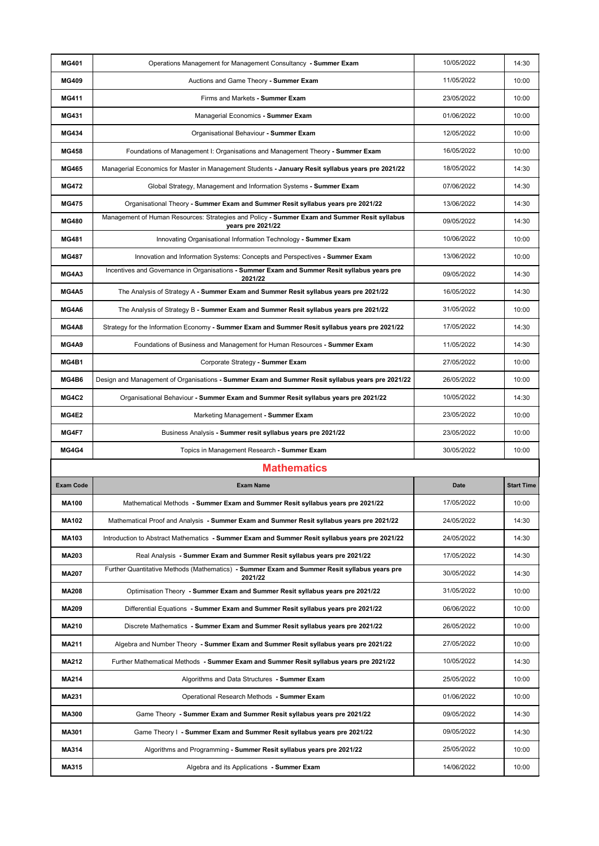| <b>MG401</b>     | Operations Management for Management Consultancy - Summer Exam                                                    | 10/05/2022  | 14:30             |
|------------------|-------------------------------------------------------------------------------------------------------------------|-------------|-------------------|
| <b>MG409</b>     | Auctions and Game Theory - Summer Exam                                                                            | 11/05/2022  | 10:00             |
| <b>MG411</b>     | Firms and Markets - Summer Exam                                                                                   | 23/05/2022  | 10:00             |
| <b>MG431</b>     | Managerial Economics - Summer Exam                                                                                | 01/06/2022  | 10:00             |
| <b>MG434</b>     | Organisational Behaviour - Summer Exam                                                                            | 12/05/2022  | 10:00             |
| <b>MG458</b>     | Foundations of Management I: Organisations and Management Theory - Summer Exam                                    | 16/05/2022  | 10:00             |
| <b>MG465</b>     | Managerial Economics for Master in Management Students - January Resit syllabus years pre 2021/22                 | 18/05/2022  | 14:30             |
| <b>MG472</b>     | Global Strategy, Management and Information Systems - Summer Exam                                                 | 07/06/2022  | 14:30             |
| <b>MG475</b>     | Organisational Theory - Summer Exam and Summer Resit syllabus years pre 2021/22                                   | 13/06/2022  | 14:30             |
| <b>MG480</b>     | Management of Human Resources: Strategies and Policy - Summer Exam and Summer Resit syllabus<br>years pre 2021/22 | 09/05/2022  | 14:30             |
| <b>MG481</b>     | Innovating Organisational Information Technology - Summer Exam                                                    | 10/06/2022  | 10:00             |
| <b>MG487</b>     | Innovation and Information Systems: Concepts and Perspectives - Summer Exam                                       | 13/06/2022  | 10:00             |
| MG4A3            | Incentives and Governance in Organisations - Summer Exam and Summer Resit syllabus years pre<br>2021/22           | 09/05/2022  | 14:30             |
| <b>MG4A5</b>     | The Analysis of Strategy A - Summer Exam and Summer Resit syllabus years pre 2021/22                              | 16/05/2022  | 14:30             |
| MG4A6            | The Analysis of Strategy B - Summer Exam and Summer Resit syllabus years pre 2021/22                              | 31/05/2022  | 10:00             |
| MG4A8            | Strategy for the Information Economy - Summer Exam and Summer Resit syllabus years pre 2021/22                    | 17/05/2022  | 14:30             |
| MG4A9            | Foundations of Business and Management for Human Resources - Summer Exam                                          | 11/05/2022  | 14:30             |
| MG4B1            | Corporate Strategy - Summer Exam                                                                                  | 27/05/2022  | 10:00             |
| MG4B6            | Design and Management of Organisations - Summer Exam and Summer Resit syllabus years pre 2021/22                  | 26/05/2022  | 10:00             |
| <b>MG4C2</b>     | Organisational Behaviour - Summer Exam and Summer Resit syllabus years pre 2021/22                                | 10/05/2022  | 14:30             |
| MG4E2            | Marketing Management - Summer Exam                                                                                |             |                   |
|                  |                                                                                                                   | 23/05/2022  | 10:00             |
| MG4F7            | Business Analysis - Summer resit syllabus years pre 2021/22                                                       | 23/05/2022  | 10:00             |
| MG4G4            | Topics in Management Research - Summer Exam                                                                       | 30/05/2022  | 10:00             |
|                  | <b>Mathematics</b>                                                                                                |             |                   |
| <b>Exam Code</b> | <b>Exam Name</b>                                                                                                  | <b>Date</b> | <b>Start Time</b> |
| <b>MA100</b>     | Mathematical Methods - Summer Exam and Summer Resit syllabus years pre 2021/22                                    | 17/05/2022  | 10:00             |
| <b>MA102</b>     | Mathematical Proof and Analysis - Summer Exam and Summer Resit syllabus years pre 2021/22                         | 24/05/2022  | 14:30             |
| <b>MA103</b>     | Introduction to Abstract Mathematics - Summer Exam and Summer Resit syllabus years pre 2021/22                    | 24/05/2022  | 14:30             |
| <b>MA203</b>     | Real Analysis - Summer Exam and Summer Resit syllabus years pre 2021/22                                           | 17/05/2022  | 14:30             |
| <b>MA207</b>     | Further Quantitative Methods (Mathematics) - Summer Exam and Summer Resit syllabus years pre<br>2021/22           | 30/05/2022  | 14:30             |
| <b>MA208</b>     | Optimisation Theory - Summer Exam and Summer Resit syllabus years pre 2021/22                                     | 31/05/2022  | 10:00             |
| <b>MA209</b>     | Differential Equations - Summer Exam and Summer Resit syllabus years pre 2021/22                                  | 06/06/2022  | 10:00             |
| <b>MA210</b>     | Discrete Mathematics - Summer Exam and Summer Resit syllabus years pre 2021/22                                    | 26/05/2022  | 10:00             |
| <b>MA211</b>     | Algebra and Number Theory - Summer Exam and Summer Resit syllabus years pre 2021/22                               | 27/05/2022  | 10:00             |
| <b>MA212</b>     | Further Mathematical Methods - Summer Exam and Summer Resit syllabus years pre 2021/22                            | 10/05/2022  | 14:30             |
| <b>MA214</b>     | Algorithms and Data Structures - Summer Exam                                                                      | 25/05/2022  | 10:00             |
| <b>MA231</b>     | Operational Research Methods - Summer Exam                                                                        | 01/06/2022  | 10:00             |
| <b>MA300</b>     | Game Theory - Summer Exam and Summer Resit syllabus years pre 2021/22                                             | 09/05/2022  | 14:30             |
| <b>MA301</b>     | Game Theory I - Summer Exam and Summer Resit syllabus years pre 2021/22                                           | 09/05/2022  | 14:30             |
| <b>MA314</b>     | Algorithms and Programming - Summer Resit syllabus years pre 2021/22                                              | 25/05/2022  | 10:00             |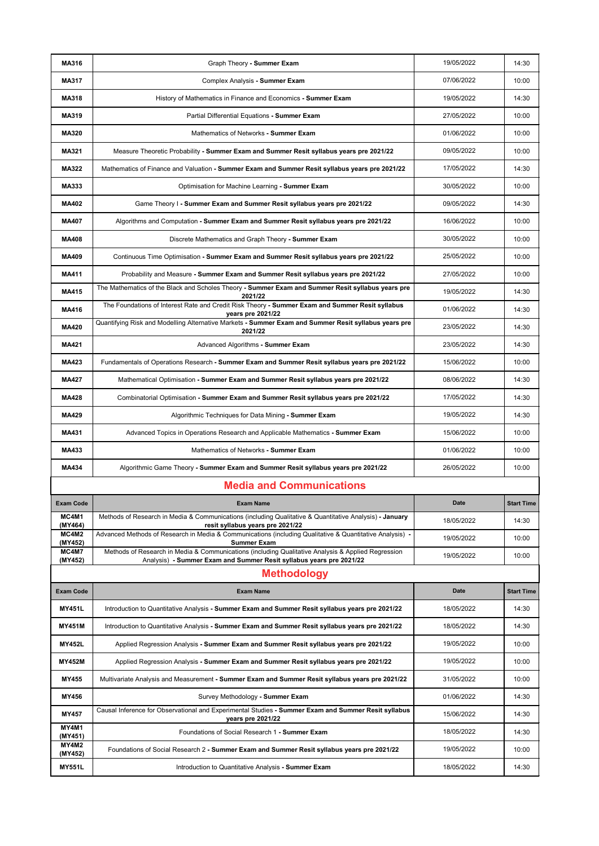| <b>MA316</b>     | Graph Theory - Summer Exam                                                                                                                                                | 19/05/2022  | 14:30             |
|------------------|---------------------------------------------------------------------------------------------------------------------------------------------------------------------------|-------------|-------------------|
| <b>MA317</b>     | Complex Analysis - Summer Exam                                                                                                                                            | 07/06/2022  | 10:00             |
| <b>MA318</b>     | History of Mathematics in Finance and Economics - Summer Exam                                                                                                             | 19/05/2022  | 14:30             |
| <b>MA319</b>     | Partial Differential Equations - Summer Exam                                                                                                                              | 27/05/2022  | 10:00             |
| <b>MA320</b>     | Mathematics of Networks - Summer Exam                                                                                                                                     | 01/06/2022  | 10:00             |
| <b>MA321</b>     | Measure Theoretic Probability - Summer Exam and Summer Resit syllabus years pre 2021/22                                                                                   | 09/05/2022  | 10:00             |
| <b>MA322</b>     | Mathematics of Finance and Valuation - Summer Exam and Summer Resit syllabus years pre 2021/22                                                                            | 17/05/2022  | 14:30             |
| <b>MA333</b>     | Optimisation for Machine Learning - Summer Exam                                                                                                                           | 30/05/2022  | 10:00             |
| <b>MA402</b>     | Game Theory I - Summer Exam and Summer Resit syllabus years pre 2021/22                                                                                                   | 09/05/2022  | 14:30             |
| <b>MA407</b>     | Algorithms and Computation - Summer Exam and Summer Resit syllabus years pre 2021/22                                                                                      | 16/06/2022  | 10:00             |
| <b>MA408</b>     | Discrete Mathematics and Graph Theory - Summer Exam                                                                                                                       | 30/05/2022  | 10:00             |
| <b>MA409</b>     | Continuous Time Optimisation - Summer Exam and Summer Resit syllabus years pre 2021/22                                                                                    | 25/05/2022  | 10:00             |
| <b>MA411</b>     | Probability and Measure - Summer Exam and Summer Resit syllabus years pre 2021/22                                                                                         | 27/05/2022  | 10:00             |
| <b>MA415</b>     | The Mathematics of the Black and Scholes Theory - Summer Exam and Summer Resit syllabus years pre<br>2021/22                                                              | 19/05/2022  | 14:30             |
| <b>MA416</b>     | The Foundations of Interest Rate and Credit Risk Theory - Summer Exam and Summer Resit syllabus<br>years pre 2021/22                                                      | 01/06/2022  | 14:30             |
| <b>MA420</b>     | Quantifying Risk and Modelling Alternative Markets - Summer Exam and Summer Resit syllabus years pre<br>2021/22                                                           | 23/05/2022  | 14:30             |
| <b>MA421</b>     | Advanced Algorithms - Summer Exam                                                                                                                                         | 23/05/2022  | 14:30             |
| <b>MA423</b>     | Fundamentals of Operations Research - Summer Exam and Summer Resit syllabus years pre 2021/22                                                                             | 15/06/2022  | 10:00             |
| <b>MA427</b>     | Mathematical Optimisation - Summer Exam and Summer Resit syllabus years pre 2021/22                                                                                       | 08/06/2022  | 14:30             |
| <b>MA428</b>     | Combinatorial Optimisation - Summer Exam and Summer Resit syllabus years pre 2021/22                                                                                      | 17/05/2022  | 14:30             |
| <b>MA429</b>     | Algorithmic Techniques for Data Mining - Summer Exam                                                                                                                      | 19/05/2022  | 14:30             |
| <b>MA431</b>     | Advanced Topics in Operations Research and Applicable Mathematics - Summer Exam                                                                                           | 15/06/2022  | 10:00             |
| <b>MA433</b>     | Mathematics of Networks - Summer Exam                                                                                                                                     | 01/06/2022  | 10:00             |
| <b>MA434</b>     | Algorithmic Game Theory - Summer Exam and Summer Resit syllabus years pre 2021/22                                                                                         | 26/05/2022  | 10:00             |
|                  | <b>Media and Communications</b>                                                                                                                                           |             |                   |
| <b>Exam Code</b> | <b>Exam Name</b>                                                                                                                                                          | <b>Date</b> | <b>Start Time</b> |
| MC4M1<br>(MY464) | Methods of Research in Media & Communications (including Qualitative & Quantitative Analysis) - January<br>resit syllabus years pre 2021/22                               | 18/05/2022  | 14:30             |
| MC4M2<br>(MY452) | Advanced Methods of Research in Media & Communications (including Qualitative & Quantitative Analysis) -<br><b>Summer Exam</b>                                            | 19/05/2022  | 10:00             |
| MC4M7<br>(MY452) | Methods of Research in Media & Communications (including Qualitative Analysis & Applied Regression<br>Analysis) - Summer Exam and Summer Resit syllabus years pre 2021/22 | 19/05/2022  | 10:00             |
|                  | <b>Methodology</b>                                                                                                                                                        |             |                   |
| <b>Exam Code</b> | <b>Exam Name</b>                                                                                                                                                          | <b>Date</b> | <b>Start Time</b> |
| <b>MY451L</b>    | Introduction to Quantitative Analysis - Summer Exam and Summer Resit syllabus years pre 2021/22                                                                           | 18/05/2022  | 14:30             |
| <b>MY451M</b>    | Introduction to Quantitative Analysis - Summer Exam and Summer Resit syllabus years pre 2021/22                                                                           | 18/05/2022  | 14:30             |
| <b>MY452L</b>    | Applied Regression Analysis - Summer Exam and Summer Resit syllabus years pre 2021/22                                                                                     | 19/05/2022  | 10:00             |
| <b>MY452M</b>    | Applied Regression Analysis - Summer Exam and Summer Resit syllabus years pre 2021/22                                                                                     | 19/05/2022  | 10:00             |
| <b>MY455</b>     | Multivariate Analysis and Measurement - Summer Exam and Summer Resit syllabus years pre 2021/22                                                                           | 31/05/2022  | 10:00             |
| <b>MY456</b>     | Survey Methodology - Summer Exam                                                                                                                                          | 01/06/2022  | 14:30             |
| <b>MY457</b>     | Causal Inference for Observational and Experimental Studies - Summer Exam and Summer Resit syllabus<br>years pre 2021/22                                                  | 15/06/2022  | 14:30             |
| MY4M1<br>(MY451) | Foundations of Social Research 1 - Summer Exam                                                                                                                            | 18/05/2022  | 14:30             |
| MY4M2<br>(MY452) | Foundations of Social Research 2 - Summer Exam and Summer Resit syllabus years pre 2021/22                                                                                | 19/05/2022  | 10:00             |
| <b>MY551L</b>    | Introduction to Quantitative Analysis - Summer Exam                                                                                                                       | 18/05/2022  | 14:30             |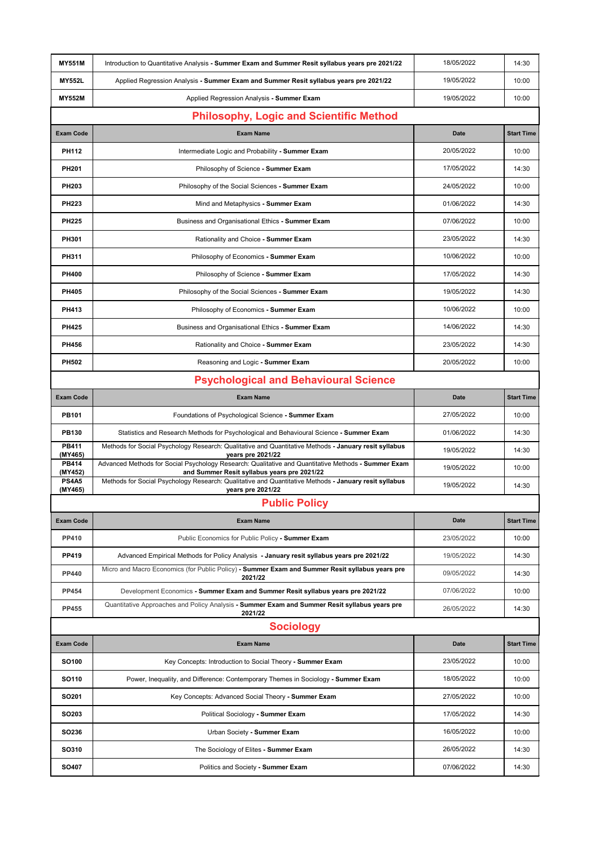| <b>MY551M</b>           | Introduction to Quantitative Analysis - Summer Exam and Summer Resit syllabus years pre 2021/22                                                    | 18/05/2022  | 14:30             |  |  |
|-------------------------|----------------------------------------------------------------------------------------------------------------------------------------------------|-------------|-------------------|--|--|
| <b>MY552L</b>           | Applied Regression Analysis - Summer Exam and Summer Resit syllabus years pre 2021/22                                                              | 19/05/2022  | 10:00             |  |  |
| <b>MY552M</b>           | Applied Regression Analysis - Summer Exam                                                                                                          | 19/05/2022  | 10:00             |  |  |
|                         |                                                                                                                                                    |             |                   |  |  |
|                         | <b>Philosophy, Logic and Scientific Method</b>                                                                                                     |             |                   |  |  |
| <b>Exam Code</b>        | <b>Exam Name</b>                                                                                                                                   | <b>Date</b> | <b>Start Time</b> |  |  |
| <b>PH112</b>            | Intermediate Logic and Probability - Summer Exam                                                                                                   | 20/05/2022  | 10:00             |  |  |
| <b>PH201</b>            | Philosophy of Science - Summer Exam                                                                                                                | 17/05/2022  | 14:30             |  |  |
| <b>PH203</b>            | Philosophy of the Social Sciences - Summer Exam                                                                                                    | 24/05/2022  | 10:00             |  |  |
| <b>PH223</b>            | Mind and Metaphysics - Summer Exam                                                                                                                 | 01/06/2022  | 14:30             |  |  |
| <b>PH225</b>            | Business and Organisational Ethics - Summer Exam                                                                                                   | 07/06/2022  | 10:00             |  |  |
| <b>PH301</b>            | Rationality and Choice - Summer Exam                                                                                                               | 23/05/2022  | 14:30             |  |  |
| <b>PH311</b>            | Philosophy of Economics - Summer Exam                                                                                                              | 10/06/2022  | 10:00             |  |  |
| <b>PH400</b>            | Philosophy of Science - Summer Exam                                                                                                                | 17/05/2022  | 14:30             |  |  |
| <b>PH405</b>            | Philosophy of the Social Sciences - Summer Exam                                                                                                    | 19/05/2022  | 14:30             |  |  |
| <b>PH413</b>            | Philosophy of Economics - Summer Exam                                                                                                              | 10/06/2022  | 10:00             |  |  |
| <b>PH425</b>            | Business and Organisational Ethics - Summer Exam                                                                                                   | 14/06/2022  | 14:30             |  |  |
| <b>PH456</b>            | Rationality and Choice - Summer Exam                                                                                                               | 23/05/2022  | 14:30             |  |  |
| <b>PH502</b>            | Reasoning and Logic - Summer Exam                                                                                                                  | 20/05/2022  | 10:00             |  |  |
|                         | <b>Psychological and Behavioural Science</b>                                                                                                       |             |                   |  |  |
| <b>Exam Code</b>        | <b>Exam Name</b>                                                                                                                                   | <b>Date</b> | <b>Start Time</b> |  |  |
| <b>PB101</b>            | Foundations of Psychological Science - Summer Exam                                                                                                 | 27/05/2022  | 10:00             |  |  |
| <b>PB130</b>            | Statistics and Research Methods for Psychological and Behavioural Science - Summer Exam                                                            | 01/06/2022  | 14:30             |  |  |
| <b>PB411</b><br>(MY465) | Methods for Social Psychology Research: Qualitative and Quantitative Methods - January resit syllabus<br>years pre 2021/22                         | 19/05/2022  | 14:30             |  |  |
| <b>PB414</b><br>(MY452) | Advanced Methods for Social Psychology Research: Qualitative and Quantitative Methods - Summer Exam<br>and Summer Resit syllabus years pre 2021/22 | 19/05/2022  | 10:00             |  |  |
| <b>PS4A5</b><br>(MY465) | Methods for Social Psychology Research: Qualitative and Quantitative Methods - January resit syllabus<br>years pre 2021/22                         | 19/05/2022  | 14:30             |  |  |
|                         | <b>Public Policy</b>                                                                                                                               |             |                   |  |  |
| <b>Exam Code</b>        | <b>Exam Name</b>                                                                                                                                   | <b>Date</b> | <b>Start Time</b> |  |  |
| <b>PP410</b>            | Public Economics for Public Policy - Summer Exam                                                                                                   | 23/05/2022  | 10:00             |  |  |
| <b>PP419</b>            | Advanced Empirical Methods for Policy Analysis - January resit syllabus years pre 2021/22                                                          | 19/05/2022  | 14:30             |  |  |
| <b>PP440</b>            | Micro and Macro Economics (for Public Policy) - Summer Exam and Summer Resit syllabus years pre<br>2021/22                                         | 09/05/2022  | 14:30             |  |  |
| <b>PP454</b>            | Development Economics - Summer Exam and Summer Resit syllabus years pre 2021/22                                                                    | 07/06/2022  | 10:00             |  |  |
| <b>PP455</b>            | Quantitative Approaches and Policy Analysis - Summer Exam and Summer Resit syllabus years pre<br>2021/22                                           | 26/05/2022  | 14:30             |  |  |
|                         | <b>Sociology</b>                                                                                                                                   |             |                   |  |  |
| <b>Exam Code</b>        | <b>Exam Name</b>                                                                                                                                   | <b>Date</b> | <b>Start Time</b> |  |  |
| <b>SO100</b>            | Key Concepts: Introduction to Social Theory - Summer Exam                                                                                          | 23/05/2022  | 10:00             |  |  |
| <b>SO110</b>            | Power, Inequality, and Difference: Contemporary Themes in Sociology - Summer Exam                                                                  | 18/05/2022  | 10:00             |  |  |
| SO <sub>201</sub>       | Key Concepts: Advanced Social Theory - Summer Exam                                                                                                 | 27/05/2022  | 10:00             |  |  |
| SO <sub>203</sub>       | Political Sociology - Summer Exam                                                                                                                  | 17/05/2022  | 14:30             |  |  |
| SO236                   | Urban Society - Summer Exam                                                                                                                        | 16/05/2022  | 10:00             |  |  |
| <b>SO310</b>            | The Sociology of Elites - Summer Exam                                                                                                              | 26/05/2022  | 14:30             |  |  |
| <b>SO407</b>            | Politics and Society - Summer Exam                                                                                                                 | 07/06/2022  | 14:30             |  |  |
|                         |                                                                                                                                                    |             |                   |  |  |